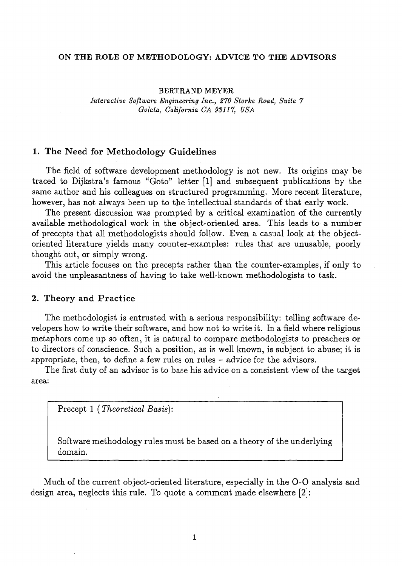#### ON THE ROLE OF METHODOLOGY: ADVICE TO THE ADVISORS

BERTRAND MEYER *Interactive Software Engineering Inc., 270 Storke Road, Suite 7 Goleta, California CA* 93117, *USA* 

## 1. The Need for Methodology Guidelines

The field of software development methodology is not new. Its origins may be traced to Dijkstra's famous "Goto" letter [1] and subsequent publications by the same author and his colleagues on structured programming. More recent literature, however, has not always been up to the intellectual standards of that early work.

The present discussion was prompted by a critical examination of the currently available methodological work in the object-oriented area. This leads to a number of precepts that all methodologists should follow. Even a casual look at the objectoriented literature yields many counter-examples: rules that are unusable, poorly thought out, or simply wrong.

This article focuses on the precepts rather than the counter-examples, if only to avoid the unpleasantness of having to take well-known methodologists to task.

#### 2. Theory and Practice

The methodologist is entrusted with a serious responsibility: telling software developers how to write their software, and how not to write it. In a field where religious metaphors come up so often, it is natural to compare methodologists to preachers or to directors of conscience. Such a position, as is well known, is subject to abuse; it is appropriate, then, to define a few rules on rules – advice for the advisors.

The first duty of an advisor is to base his advice on a consistent view of the target area:

Precept 1 *(Theoretical Basis):* 

Software methodology rules must be based on a theory of the underlying domain.

Much of the current object-oriented literature, especially in the 0-0 analysis and design area, neglects this rule. To quote a comment made elsewhere [2]: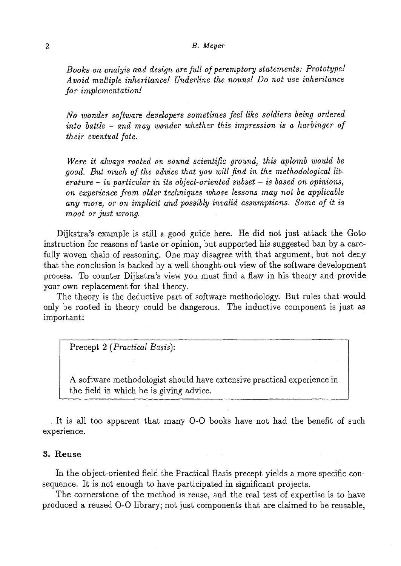#### 2 *B. Meyer*

*Books on analyis and design are full of peremptory statements: Prototype! Avoid multiple inheritance! Underline the nouns! Do not use inheritance Jor implementation!* 

*No wonder software developers sometimes feel like soldiers being ordered into battle* - *and may wonder whether this impression is a harbinger of their eventual fate.* 

*Were it always rooted on sound scientific ground, this aplomb would be good. But much of the advice that you will find in the methodological literature* - *in particular in its object-oriented subset* - *is based on opinions, on experience from older techniques whose lessons may not be applicable any more, or on implicit and possibly invalid assumptions. Some of it is moot or just wrong.* 

Dijkstra's example is still a good guide here. He did not just attack the Goto instruction for reasons of taste or opinion, but supported his suggested ban by a carefully woven chain of reasoning. One may disagree with that argument, but not deny that the conclusion is backed by a well thought-out view of the software development process. To counter Dijkstra's view you must find a flaw in his theory and provide your own replacement for that theory.

The theory' is the deductive part of software methodology. But rules that would only be rooted in theory could be dangerous. The inductive component is just as important:

Precept 2 *(Practical Basis):* 

A software methodologist should have extensive practical experience in the field in which he is giving advice.

It is all too apparent that many 0-0 books have not had the benefit of such experience.

## **3. Reuse**

In the object-oriented field the Practical Basis precept yields a more specific consequence. It is not enough to have participated in significant projects.

The cornerstone of the method is reuse, and the real test of expertise is to have produced a reused 0-0 library; not just components that are claimed to be reusable,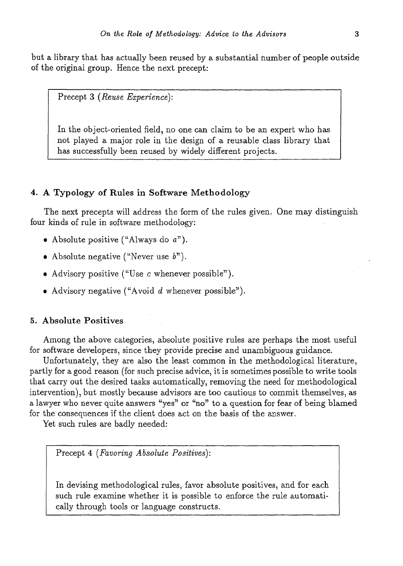but a library that has actually been reused by a substantial number of people outside of the original group. Hence the next precept:

Precept 3 *(Reuse Experience):* 

In the object-oriented field, no one can claim to be an expert who has not played a major role in the design of a reusable class library that has successfully been reused by widely different projects.

## 4. A Typology of Rules in Software Methodology

The next precepts will address the form of the rules given. One may distinguish four kinds of rule in software methodology:

- Absolute positive ("Always do *a").*
- Absolute negative ("Never use *b").*
- Advisory positive ("Use c whenever possible").
- Advisory negative ("Avoid d whenever possible").

# 5. Absolute Positives

Among the above categories, absolute positive rules are perhaps the most useful for software developers, since they provide precise and unambiguous guidance.

Unfortunately, they are also the least common in the methodological literature, partly for a good reason (for such precise advice, it is sometimes possible to write tools that carry out the desired tasks automatically, removing the need for methodological intervention), but mostly because advisors are too cautious to commit themselves, as a lawyer who never quite answers "yes" or "no" to a question for fear of being blamed for the consequences if the client does act on the basis of the answer.

Yet such rules are badly needed:

Precept 4 *(Favoring Absolute Positives):* 

In devising methodological rules, favor absolute positives, and for each such rule examine whether it is possible to enforce the rule automatically through tools or language constructs.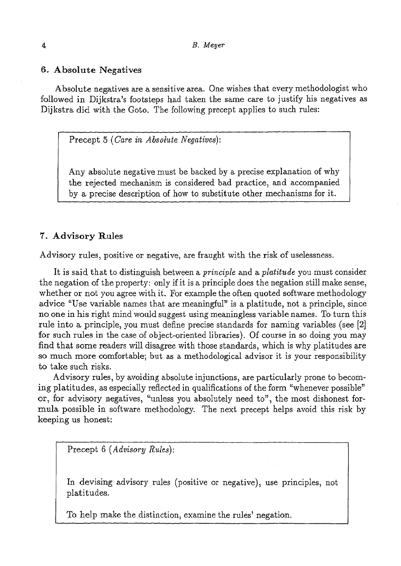### 6. Absolute Negatives

Absolute negatives are a sensitive area. One wishes that every methodologist who followed in Dijkstra's footsteps had taken the same care to justify his negatives as Dijkstra did with the Goto. The following precept applies to such rules:

Precept 5 *(Gare in Absolute Negatives):* 

Any absolute negative must be backed by a precise explanation of why the rejected mechanism is considered bad practice, and accompanied by a precise description of how to substitute other mechanisms for it.

## 1. Advisory Rules

Advisory rules, positive or negative, are fraught with the risk of uselessness.

It is said that to distinguish between a *principle* and a *platitude* you must consider the negation of the property: only if it is a principle does the negation still make sense, whether or not you agree with it. For example the often quoted software methodology advice "Use variable names that are meaningful" is a platitude, not a principle, since no one in his right mind would suggest using meaningless variable names. To turn this rule into a principle, you must define precise standards for naming variables (see [2] for such rules in the case of object-oriented libraries). Of course in so doing you may find that some readers will disagree with those standards, which is why platitudes are so much more comfortable; but as a methodological advisor it is your responsibility to take such risks.

Advisory rules, by avoiding absolute injunctions, are particularly prone to becoming platitudes, as especially reflected in qualifications of the form "whenever possible" or, for advisory negatives, "unless you absolutely need to", the most dishonest formula possible in software methodology. The next precept helps avoid this risk by keeping us honest:

Precept 6 *(Advisory Rules):* 

In devising advisory rules (positive or negative), use principles, not platitudes.

To help make the distinction, examine the rules' negation.